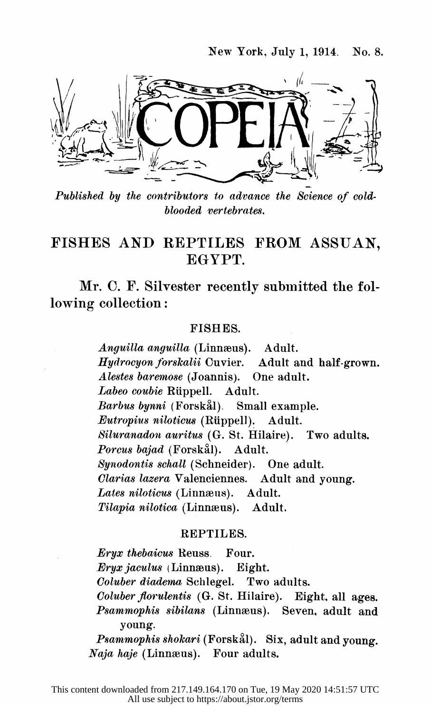

 Published by the contributors to advance the Science of cold blooded vertebrates.

## FISHES AND REPTILES FROM ASSUAN, EGYPT.

 Mr. C. F. Silvester recently submitted the fol lowing collection:

## FISHES.

Anguilla anguilla (Linnæus). Adult. Hydrocyon forskalii Cuvier. Adult and half-grown. Alestes baremose (Joannis). One adult. Labeo coubie Rüppell. Adult.<br>Barbus bynni (Forskål). Small example.  $Barbus$  bynni (Forskål). Eutropius niloticus (Riippell). Adult. Siluranadon auritus (G. St. Hilaire). Two adults. Porcus bajad (Forskål). Adult. Synodontis schall (Schneider). One adult.<br>Clarias lazera Valenciennes. Adult and voung. Clarias lazera Valenciennes. Lates niloticus (Linnæus). Adult. Tilapia nilotica (Linnæus). Adult.

## REPTILES.

 Eryx thebaicus Reuss. Four. Eryx jaculus (Linnæus). Eight.<br>Coluber diadema Schlegel. Two adults. Coluber diadema Schlegel. Coluber florulentis (G. St. Hilaire). Eight, all ages. Psammophis sibilans (Linnæus). Seven, adult and young.

Psammophis shokari (Forskål). Six, adult and young. Naja haje (Linnæus). Four adults.